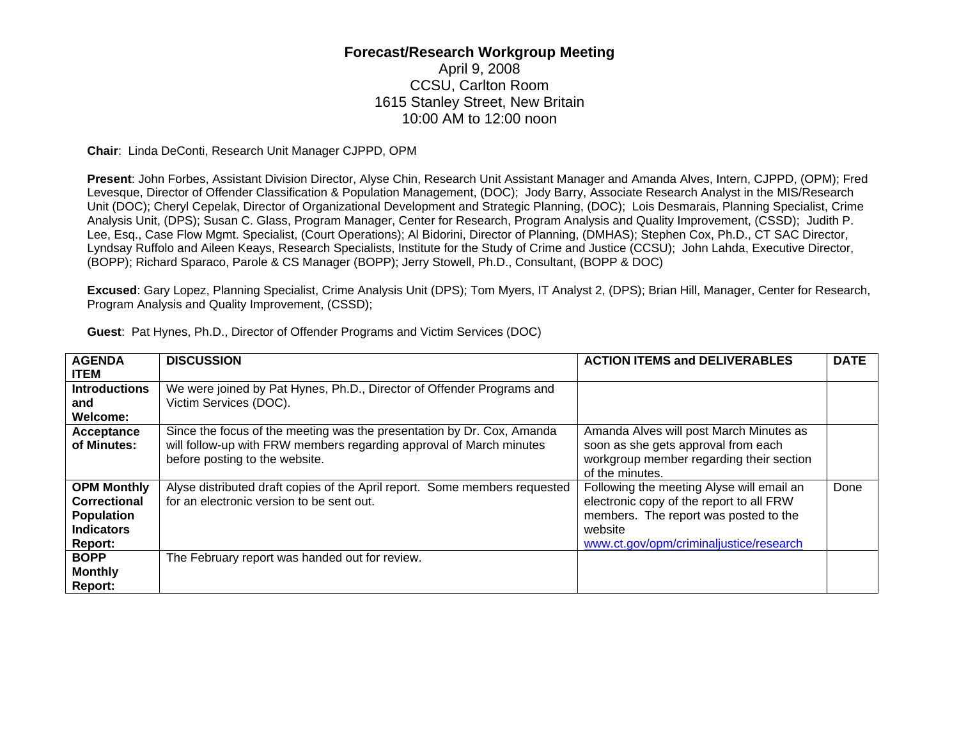## **Forecast/Research Workgroup Meeting**

## April 9, 2008 CCSU, Carlton Room 1615 Stanley Street, New Britain 10:00 AM to 12:00 noon

**Chair**: Linda DeConti, Research Unit Manager CJPPD, OPM

**Present**: John Forbes, Assistant Division Director, Alyse Chin, Research Unit Assistant Manager and Amanda Alves, Intern, CJPPD, (OPM); Fred Levesque, Director of Offender Classification & Population Management, (DOC); Jody Barry, Associate Research Analyst in the MIS/Research Unit (DOC); Cheryl Cepelak, Director of Organizational Development and Strategic Planning, (DOC); Lois Desmarais, Planning Specialist, Crime Analysis Unit, (DPS); Susan C. Glass, Program Manager, Center for Research, Program Analysis and Quality Improvement, (CSSD); Judith P. Lee, Esq., Case Flow Mgmt. Specialist, (Court Operations); Al Bidorini, Director of Planning, (DMHAS); Stephen Cox, Ph.D., CT SAC Director, Lyndsay Ruffolo and Aileen Keays, Research Specialists, Institute for the Study of Crime and Justice (CCSU); John Lahda, Executive Director, (BOPP); Richard Sparaco, Parole & CS Manager (BOPP); Jerry Stowell, Ph.D., Consultant, (BOPP & DOC)

**Excused**: Gary Lopez, Planning Specialist, Crime Analysis Unit (DPS); Tom Myers, IT Analyst 2, (DPS); Brian Hill, Manager, Center for Research, Program Analysis and Quality Improvement, (CSSD);

| <b>AGENDA</b>                                                                                  | <b>DISCUSSION</b>                                                                                                                                                               | <b>ACTION ITEMS and DELIVERABLES</b>                                                                                                                                                 | <b>DATE</b> |
|------------------------------------------------------------------------------------------------|---------------------------------------------------------------------------------------------------------------------------------------------------------------------------------|--------------------------------------------------------------------------------------------------------------------------------------------------------------------------------------|-------------|
| <b>ITEM</b>                                                                                    |                                                                                                                                                                                 |                                                                                                                                                                                      |             |
| <b>Introductions</b>                                                                           | We were joined by Pat Hynes, Ph.D., Director of Offender Programs and                                                                                                           |                                                                                                                                                                                      |             |
| and                                                                                            | Victim Services (DOC).                                                                                                                                                          |                                                                                                                                                                                      |             |
| Welcome:                                                                                       |                                                                                                                                                                                 |                                                                                                                                                                                      |             |
| Acceptance<br>of Minutes:                                                                      | Since the focus of the meeting was the presentation by Dr. Cox, Amanda<br>will follow-up with FRW members regarding approval of March minutes<br>before posting to the website. | Amanda Alves will post March Minutes as<br>soon as she gets approval from each<br>workgroup member regarding their section<br>of the minutes.                                        |             |
| <b>OPM Monthly</b><br>Correctional<br><b>Population</b><br><b>Indicators</b><br><b>Report:</b> | Alyse distributed draft copies of the April report. Some members requested<br>for an electronic version to be sent out.                                                         | Following the meeting Alyse will email an<br>electronic copy of the report to all FRW<br>members. The report was posted to the<br>website<br>www.ct.gov/opm/criminaljustice/research | Done        |
| <b>BOPP</b><br><b>Monthly</b><br>Report:                                                       | The February report was handed out for review.                                                                                                                                  |                                                                                                                                                                                      |             |

**Guest**: Pat Hynes, Ph.D., Director of Offender Programs and Victim Services (DOC)